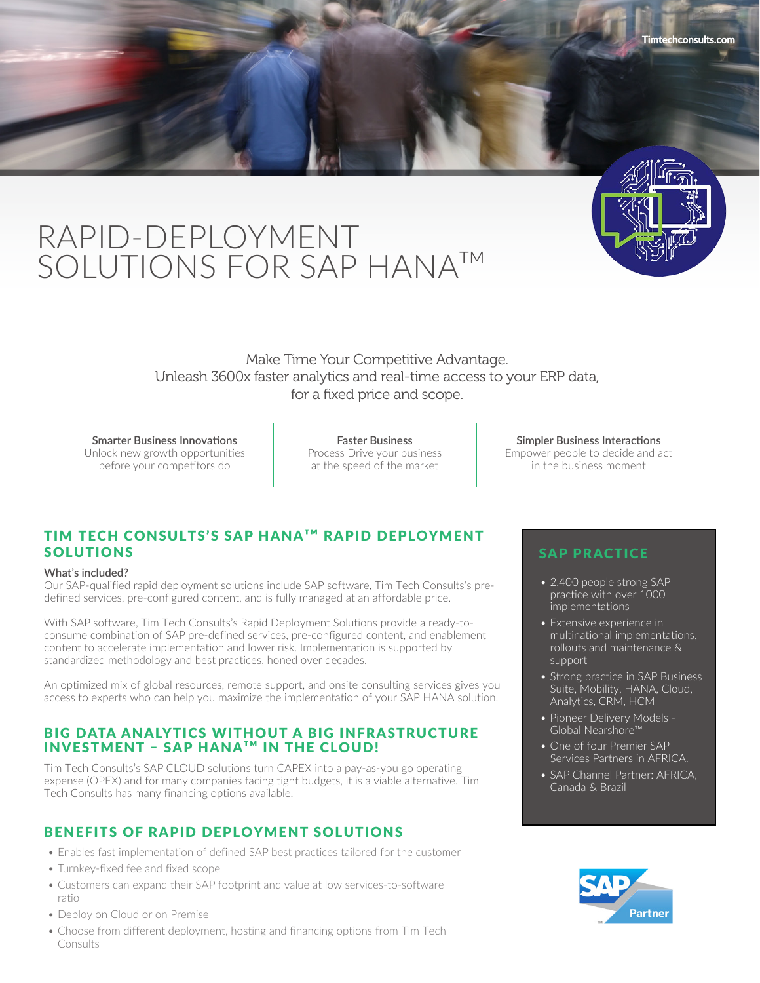

# RAPID-DEPLOYMENT SOLUTIONS FOR SAP HANA™

Make Time Your Competitive Advantage. Unleash 3600x faster analytics and real-time access to your ERP data, for a fixed price and scope.

**Smarter Business Innovations** Unlock new growth opportunities before your competitors do

**Faster Business** Process Drive your business at the speed of the market

# TIM TECH CONSULTS'S SAP HANATM RAPID DEPLOYMENT SOLUTIONS

#### **What's included?**

Our SAP-qualified rapid deployment solutions include SAP software, Tim Tech Consults's predefined services, pre-configured content, and is fully managed at an affordable price.

With SAP software, Tim Tech Consults's Rapid Deployment Solutions provide a ready-toconsume combination of SAP pre-defined services, pre-configured content, and enablement content to accelerate implementation and lower risk. Implementation is supported by standardized methodology and best practices, honed over decades.

An optimized mix of global resources, remote support, and onsite consulting services gives you access to experts who can help you maximize the implementation of your SAP HANA solution.

## BIG DATA ANALYTICS WITHOUT A BIG INFRASTRUCTURE **INVESTMENT − SAP HANA™ IN THE CLOUD!**

Tim Tech Consults's SAP CLOUD solutions turn CAPEX into a pay-as-you go operating expense (OPEX) and for many companies facing tight budgets, it is a viable alternative. Tim Tech Consults has many financing options available.

# BENEFITS OF RAPID DEPLOYMENT SOLUTIONS

- Enables fast implementation of defined SAP best practices tailored for the customer
- Turnkey-fixed fee and fixed scope
- Customers can expand their SAP footprint and value at low services-to-software ratio
- Deploy on Cloud or on Premise
- Choose from different deployment, hosting and financing options from Tim Tech Consults

**Simpler Business Interactions** Empower people to decide and act in the business moment

## SAP PRACTICE

- 2,400 people strong SAP practice with over 1000 implementations
- Extensive experience in multinational implementations, rollouts and maintenance & support
- Strong practice in SAP Business Suite, Mobility, HANA, Cloud, Analytics, CRM, HCM
- Pioneer Delivery Models Global Nearshore™
- One of four Premier SAP Services Partners in AFRICA.
- SAP Channel Partner: AFRICA, Canada & Brazil